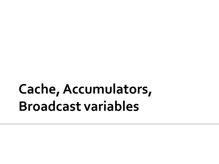## Cache, Accumulators, **Broadcast variables**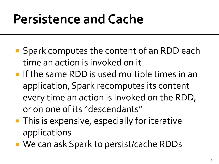- **Spark computes the content of an RDD each** time an action is invoked on it
- **If the same RDD is used multiple times in an** application, Spark recomputes its content every time an action is invoked on the RDD, or on one of its "descendants"
- **This is expensive, especially for iterative** applications
- We can ask Spark to persist/cache RDDs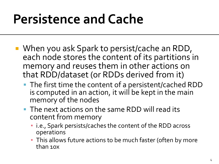- When you ask Spark to persist/cache an RDD, each node stores the content of its partitions in memory and reuses them in other actions on that RDD/dataset (or RDDs derived from it)
	- The first time the content of a persistent/cached RDD is computed in an action, it will be kept in the main memory of the nodes
	- The next actions on the same RDD will read its content from memory
		- i.e., Spark persists/caches the content of the RDD across operations
		- **This allows future actions to be much faster (often by more** than 10x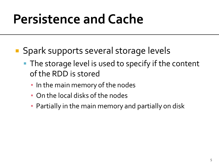- **Spark supports several storage levels** 
	- The storage level is used to specify if the content of the RDD is stored
		- **.** In the main memory of the nodes
		- On the local disks of the nodes
		- **Partially in the main memory and partially on disk**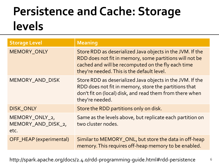#### **Persistence and Cache: Storage** levels

| <b>Storage Level</b>                         | <b>Meaning</b>                                                                                                                                                                                                           |
|----------------------------------------------|--------------------------------------------------------------------------------------------------------------------------------------------------------------------------------------------------------------------------|
| MEMORY_ONLY                                  | Store RDD as deserialized Java objects in the JVM. If the<br>RDD does not fit in memory, some partitions will not be<br>cached and will be recomputed on the fly each time<br>they're needed. This is the default level. |
| MEMORY_AND_DISK                              | Store RDD as deserialized Java objects in the JVM. If the<br>RDD does not fit in memory, store the partitions that<br>don't fit on (local) disk, and read them from there when<br>they're needed.                        |
| DISK_ONLY                                    | Store the RDD partitions only on disk.                                                                                                                                                                                   |
| MEMORY_ONLY_2,<br>MEMORY_AND_DISK_2,<br>etc. | Same as the levels above, but replicate each partition on<br>two cluster nodes.                                                                                                                                          |
| OFF_HEAP (experimental)                      | Similar to MEMORY_ONL, but store the data in off-heap<br>memory. This requires off-heap memory to be enabled.                                                                                                            |

http://spark.apache.org/docs/2.4.0/rdd-programming-guide.html#rdd-persistence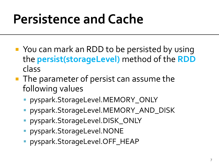- You can mark an RDD to be persisted by using the **persist(storageLevel)** method of the **RDD** class
- **The parameter of persist can assume the** following values
	- pyspark.StorageLevel.MEMORY\_ONLY
	- pyspark.StorageLevel.MEMORY\_AND\_DISK
	- pyspark.StorageLevel.DISK\_ONLY
	- pyspark.StorageLevel.NONE
	- pyspark.StorageLevel.OFF\_HEAP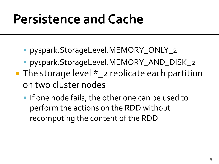- pyspark.StorageLevel.MEMORY\_ONLY\_2
- **Pyspark.StorageLevel.MEMORY\_AND\_DISK\_2**
- The storage level  $*_{2}$  replicate each partition on two cluster nodes
	- **If one node fails, the other one can be used to** perform the actions on the RDD without recomputing the content of the RDD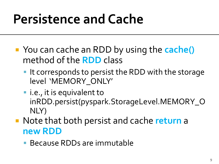- You can cache an RDD by using the **cache()** method of the **RDD** class
	- I It corresponds to persist the RDD with the storage level 'MEMORY\_ONLY'
	- i.e., it is equivalent to inRDD.persist(pyspark.StorageLevel.MEMORY\_O NLY)
- Note that both persist and cache **return** a **new RDD**
	- Because RDDs are immutable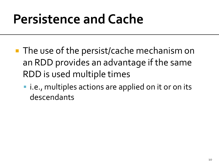- **The use of the persist/cache mechanism on** an RDD provides an advantage if the same RDD is used multiple times
	- **I.e., multiples actions are applied on it or on its** descendants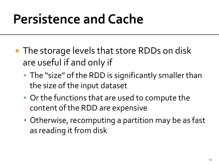- **The storage levels that store RDDs on disk** are useful if and only if
	- **The "size" of the RDD is significantly smaller than** the size of the input dataset
	- Or the functions that are used to compute the content of the RDD are expensive
	- Otherwise, recomputing a partition may be as fast as reading it from disk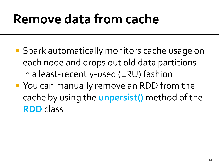# Remove data from cache

- **Spark automatically monitors cache usage on** each node and drops out old data partitions in a least-recently-used (LRU) fashion
- You can manually remove an RDD from the cache by using the **unpersist()** method of the **RDD** class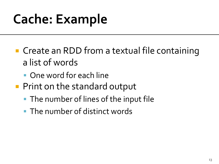- **Create an RDD from a textual file containing** a list of words
	- One word for each line
- **Print on the standard output** 
	- **The number of lines of the input file**
	- The number of distinct words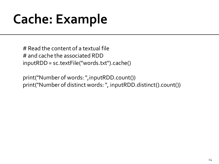# Read the content of a textual file # and cache the associated RDD inputRDD= sc.textFile("words.txt").cache()

print("Number of words: ",inputRDD.count()) print("Number of distinct words: ", inputRDD.distinct().count())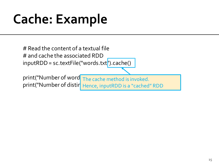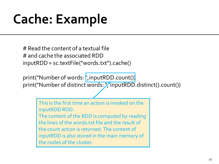# Read the content of a textual file # and cache the associated RDD inputRDD= sc.textFile("words.txt").cache()

print("Number of words: ", inputRDD.count()) print("Number of distinct words: "inputRDD.distinct().count())

> This is the first time an action is invoked on the inputRDD RDD.

The content of the RDD is computed by reading the lines of the words.txt file and the result of the count action is returned. The content of inputRDD is also stored in the main memory of the nodes of the cluster.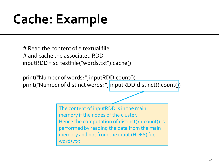# Read the content of a textual file # and cache the associated RDD inputRDD= sc.textFile("words.txt").cache()

print("Number of words: ", inputRDD.count()) print("Number of distinct words: ", inputRDD.distinct().count())

> The content of inputRDD is in the main memory if the nodes of the cluster. Hence the computation of distinct() + count() is performed by reading the data from the main memory and not from the input (HDFS) file words.txt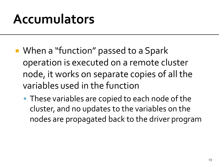- When a "function" passed to a Spark operation is executed on a remote cluster node, it works on separate copies of all the variables used in the function
	- **These variables are copied to each node of the** cluster, and no updates to the variables on the nodes are propagated back to the driver program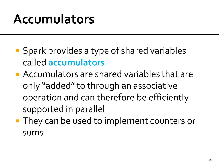- **Spark provides a type of shared variables** called **accumulators**
- **Accumulators are shared variables that are** only "added" to through an associative operation and can therefore be efficiently supported in parallel
- **They can be used to implement counters or** sums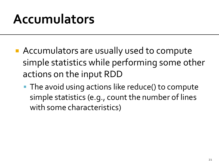- Accumulators are usually used to compute simple statistics while performing some other actions on the input RDD
	- **The avoid using actions like reduce() to compute** simple statistics (e.g., count the number of lines with some characteristics)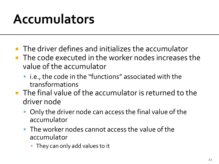- **The driver defines and initializes the accumulator**
- **The code executed in the worker nodes increases the** value of the accumulator
	- i.e., the code in the "functions" associated with the transformations
- **The final value of the accumulator is returned to the** driver node
	- Only the driver node can access the final value of the accumulator
	- **The worker nodes cannot access the value of the** accumulator
		- **They can only add values to it**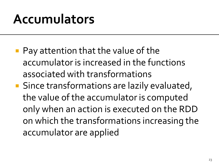- **Pay attention that the value of the** accumulator is increased in the functions associated with transformations
- Since transformations are lazily evaluated, the value of the accumulator is computed only when an action is executed on the RDD on which the transformations increasing the accumulator are applied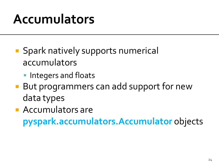- **Spark natively supports numerical** accumulators
	- **Integers and floats**
- But programmers can add support for new data types
- **Accumulators are pyspark.accumulators.Accumulator** objects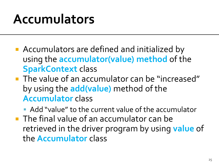- **Accumulators are defined and initialized by** using the **accumulator(value) method** of the **SparkContext** class
- **The value of an accumulator can be "increased"** by using the **add(value)** method of the **Accumulator** class

 Add "value" to the current value of the accumulator **The final value of an accumulator can be** retrieved in the driver program by using **value** of the **Accumulator** class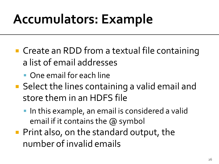- Create an RDD from a textual file containing a list of email addresses
	- One email for each line
- Select the lines containing a valid email and store them in an HDFS file
	- **IF In this example, an email is considered a valid** email if it contains the @ symbol
- **Print also, on the standard output, the** number of invalid emails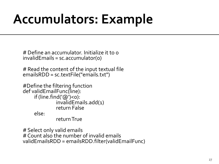# Define an accumulator. Initialize it to 0 invalidEmails = sc.accumulator(0)

# Read the content of the input textual file emailsRDD = sc.textFile("emails.txt")

```
#Define the filtering function
def validEmailFunc(line):
      if (line.find('@')<0):
                invalidEmails.add(1)
               return False
      else:
                return True
```
# Select only valid emails # Count also the number of invalid emails validEmailsRDD = emailsRDD.filter(validEmailFunc)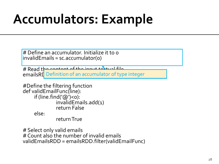# Define an accumulator. Initialize it to 0 invalidEmails = sc.accumulator(0)

# Read the content of the input to tual file emailsRI<mark>D efinition of an accumulator of type integer</mark>

```
#Define the filtering function
def validEmailFunc(line):
      if (line.find('@')<0):
                invalidEmails.add(1)
               return False
      else:
```
return True

# Select only valid emails # Count also the number of invalid emails validEmailsRDD = emailsRDD.filter(validEmailFunc)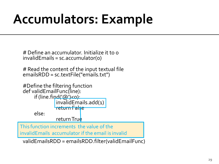# Define an accumulator. Initialize it to 0 invalidEmails = sc.accumulator(0)

# Read the content of the input textual file emailsRDD = sc.textFile("emails.txt")

```
#Define the filtering function
 def validEmailFunc(line):
       if (line.find('@')<0):
                   invalidEmails.add(1)
                 return False
        else:
                  return True
 ms ronduon merements en<br>walidEmails accumulator i
invalidEmails accumulator if the email is invalid
This function increments the value of the
```
validEmailsRDD = emailsRDD.filter(validEmailFunc)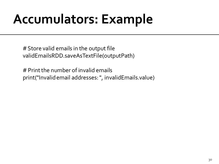# Store valid emails in the output file validEmailsRDD.saveAsTextFile(outputPath)

# Print the number of invalid emails print("Invalid email addresses: ", invalidEmails.value)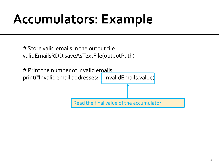# Store valid emails in the output file validEmailsRDD.saveAsTextFile(outputPath)

# Print the number of invalid emails print("Invalid email addresses: ", invalidEmails.value)

Read the final value of the accumulator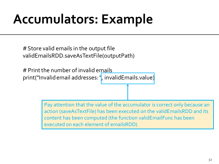# Store valid emails in the output file validEmailsRDD.saveAsTextFile(outputPath)

# Print the number of invalid emails print("Invalid email addresses: ", invalidEmails.value)

> Pay attention that the value of the accumulator is correct only because an action (saveAsTextFile) has been executed on the validEmailsRDD and its content has been computed (the function validEmailFunc has been executed on each element of emailsRDD)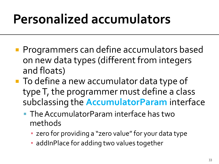# **Personalized accumulators**

- **Programmers can define accumulators based** on new data types (different from integers and floats)
- To define a new accumulator data type of type T, the programmer must define a class subclassing the **AccumulatorParam** interface
	- The AccumulatorParam interface has two methods
		- **EXERG** zero for providing a "zero value" for your data type
		- **Example 1 and 1 and 1 and 1 and 1 and 1 and 1 and 1 and 1 and 1 and 1 and 1 and 1 and 1 and 1 and 1 and 1 and 1 and 1 and 1 and 1 and 1 and 1 and 1 and 1 and 1 and 1 and 1 and 1 and 1 and 1 and 1 and 1 and 1 and 1 and 1 a**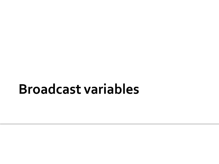#### **Broadcast variables**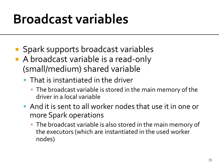### **Broadcast variables**

- Spark supports broadcast variables
- A broadcast variable is a read-only (small/medium) shared variable
	- **That is instantiated in the driver** 
		- **The broadcast variable is stored in the main memory of the** driver in a local variable
	- And it is sent to all worker nodes that use it in one or more Spark operations
		- **The broadcast variable is also stored in the main memory of** the executors (which are instantiated in the used worker nodes)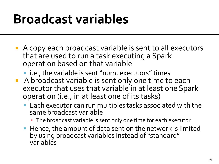### **Broadcast variables**

- A copy each broadcast variable is sent to all executors that are used to run a task executing a Spark operation based on that variable
	- i.e., the variable is sent "num. executors" times
- A broadcast variable is sent only one time to each executor that uses that variable in at least one Spark operation (i.e., in at least one of its tasks)
	- Each executor can run multiples tasks associated with the same broadcast variable
		- The broadcast variable is sent only one time for each executor
	- **Hence, the amount of data sent on the network is limited** by using broadcast variables instead of "standard" variables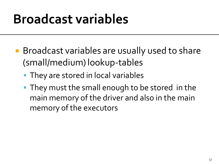#### **Broadcast variables**

- Broadcast variables are usually used to share (small/medium) lookup-tables
	- **They are stored in local variables**
	- **They must the small enough to be stored in the** main memory of the driver and also in the main memory of the executors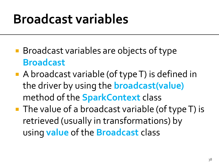#### **Broadcast variables**

- Broadcast variables are objects of type **Broadcast**
- A broadcast variable (of type T) is defined in the driver by using the **broadcast(value)** method of the **SparkContext** class
- The value of a broadcast variable (of type T) is retrieved (usually in transformations) by using **value** of the **Broadcast** class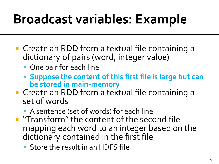- Create an RDD from a textual file containing a dictionary of pairs (word, integer value)
	- One pair for each line
	- **Suppose the content of this first file is large but can be stored in main-memory**
- **Create an RDD from a textual file containing a** set of words
	- A sentence (set of words) for each line
- **The "Transform" the content of the second file** mapping each word to an integer based on the dictionary contained in the first file
	- **Store the result in an HDFS file**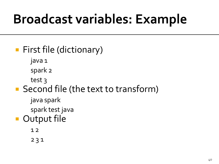#### **First file (dictionary)**

java 1

spark 2

test 3

- Second file (the text to transform)
	- java spark

spark test java

#### **Output file**

1 2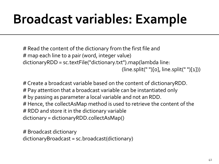# Read the content of the dictionary from the first file and # map each line to a pair (word, integer value) dictionaryRDD = sc.textFile("dictionary.txt").map(lambda line:  $(\text{line.split}(" ")[o], \text{line.split}(" ")[1]))$ 

# Create a broadcast variable based on the content of dictionaryRDD. # Pay attention that a broadcast variable can be instantiated only # by passing as parameter a local variable and not an RDD. # Hence, the collectAsMap method is used to retrieve the content of the # RDD and store it in the dictionary variable dictionary = dictionaryRDD.collectAsMap()

# Broadcast dictionary dictionaryBroadcast = sc.broadcast(dictionary)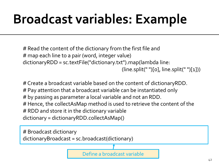# Read the content of the dictionary from the first file and # map each line to a pair (word, integer value) dictionaryRDD = sc.textFile("dictionary.txt").map(lambda line:  $(\text{line.split}("")[0], \text{line.split}("")[1])$ 

# Create a broadcast variable based on the content of dictionaryRDD. # Pay attention that a broadcast variable can be instantiated only # by passing as parameter a local variable and not an RDD. # Hence, the collectAsMap method is used to retrieve the content of the # RDD and store it in the dictionary variable dictionary = dictionaryRDD.collectAsMap()

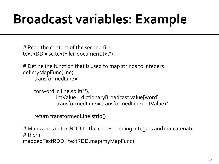# Read the content of the second file textRDD = sc.textFile("document.txt")

# Define the function that is used to map strings to integers def myMapFunc(line): transformedLine=''

```
for word in line.split(' '):
         intValue = dictionaryBroadcast.value[word]
          transformedLine = transformedLine+intValue+' '
```
return transformedLine.strip()

# Map words in textRDD to the corresponding integers and concatenate # them

```
mappedTextRDD= textRDD.map(myMapFunc)
```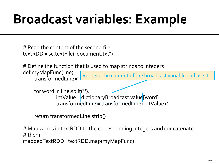# Read the content of the second file textRDD = sc.textFile("document.txt")

# Define the function that is used to map strings to integers

def myMapFunc(line): transformedLine='' Retrieve the content of the broadcast variable and use it

```
for word in line.split('):
         intValue = dictionaryBroadcast.value[word]
          transformedLine = transformedLine+intValue+' '
```
return transformedLine.strip()

# Map words in textRDD to the corresponding integers and concatenate # them

mappedTextRDD= textRDD.map(myMapFunc)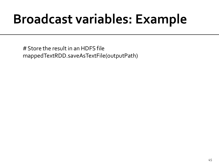# Store the result in an HDFS file mappedTextRDD.saveAsTextFile(outputPath)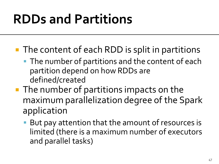- The content of each RDD is split in partitions
	- **The number of partitions and the content of each** partition depend on how RDDs are defined/created
- **The number of partitions impacts on the** maximum parallelization degree of the Spark application
	- But pay attention that the amount of resources is limited (there is a maximum number of executors and parallel tasks)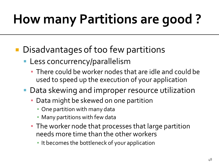# **How many Partitions are good?**

- Disadvantages of too few partitions
	- **Less concurrency/parallelism** 
		- There could be worker nodes that are idle and could be used to speed up the execution of your application
	- **Data skewing and improper resource utilization** 
		- **Data might be skewed on one partition** 
			- **One partition with many data**
			- **Many partitions with few data**
		- **The worker node that processes that large partition** needs more time than the other workers
			- It becomes the bottleneck of your application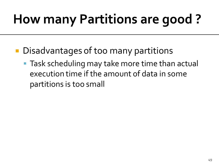# **How many Partitions are good?**

- **Disadvantages of too many partitions** 
	- **Task scheduling may take more time than actual** execution time if the amount of data in some partitions is too small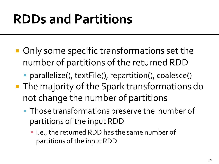- Only some specific transformations set the number of partitions of the returned RDD
	- parallelize(), textFile(), repartition(), coalesce()
- The majority of the Spark transformations do not change the number of partitions
	- **Those transformations preserve the number of** partitions of the input RDD
		- i.e., the returned RDD has the same number of partitions of the input RDD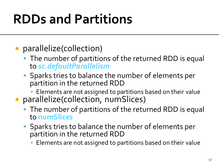#### **parallelize(collection)**

- The number of partitions of the returned RDD is equal to *sc.defaultParallelism*
- **Sparks tries to balance the number of elements per** partition in the returned RDD
	- **Elements are not assigned to partitions based on their value**
- **parallelize(collection, numSlices)** 
	- The number of partitions of the returned RDD is equal to **numSlices**
	- **Sparks tries to balance the number of elements per** partition in the returned RDD
		- **Elements are not assigned to partitions based on their value**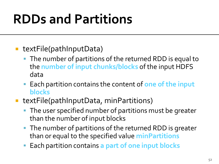- textFile(pathInputData)
	- The number of partitions of the returned RDD is equal to the **number of input chunks/blocks** of the input HDFS data
	- Each partition contains the content of **one of the input blocks**
- textFile(pathInputData, minPartitions)
	- The user specified number of partitions must be greater than the number of input blocks
	- The number of partitions of the returned RDD is greater than or equal to the specified value **minPartitions**
	- Each partition contains **a part of one input blocks**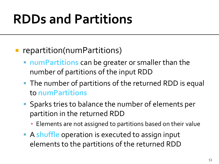- **F** repartition(numPartitions)
	- **numPartitions** can be greater or smaller than the number of partitions of the input RDD
	- The number of partitions of the returned RDD is equal to **numPartitions**
	- Sparks tries to balance the number of elements per partition in the returned RDD
		- **Elements are not assigned to partitions based on their value**
	- A **shuffle** operation is executed to assign input elements to the partitions of the returned RDD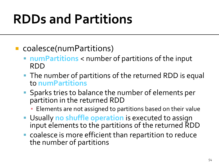- coalesce(numPartitions)
	- **numPartitions** < number of partitions of the input RDD
	- The number of partitions of the returned RDD is equal to **numPartitions**
	- **Sparks tries to balance the number of elements per** partition in the returned RDD
		- **Elements are not assigned to partitions based on their value**
	- Usually **no shuffle operation** is executed to assign input elements to the partitions of the returned RDD
	- coalesce is more efficient than repartition to reduce the number of partitions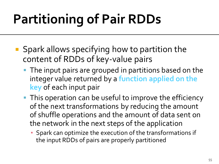# **Partitioning of Pair RDDs**

- Spark allows specifying how to partition the content of RDDs of key-value pairs
	- **The input pairs are grouped in partitions based on the** integer value returned by a **function applied on the key** of each input pair
	- **This operation can be useful to improve the efficiency** of the next transformations by reducing the amount of shuffle operations and the amount of data sent on the network in the next steps of the application
		- **· Spark can optimize the execution of the transformations if** the input RDDs of pairs are properly partitioned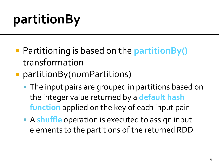# partitionBy

- Partitioning is based on the **partitionBy()**  transformation
- **partitionBy(numPartitions)** 
	- **The input pairs are grouped in partitions based on** the integer value returned by a **default hash function** applied on the key of each input pair
	- A **shuffle** operation is executed to assign input elements to the partitions of the returned RDD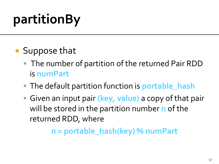# partitionBy

- **Suppose that** 
	- The number of partition of the returned Pair RDD is **numPart**
	- The default partition function is **portable\_hash**
	- Given an input pair **(key, value)** a copy of that pair will be stored in the partition number **n** of the returned RDD, where

**n = portable\_hash(key) % numPart**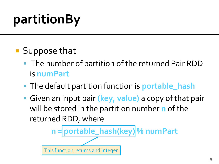# partitionBy

- **Suppose that** 
	- The number of partition of the returned Pair RDD is **numPart**
	- The default partition function is **portable\_hash**
	- Given an input pair **(key, value)** a copy of that pair will be stored in the partition number **n** of the returned RDD, where

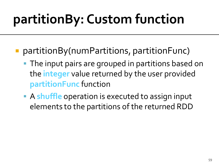## partitionBy: Custom function

- partitionBy(numPartitions, partitionFunc)
	- **The input pairs are grouped in partitions based on** the **integer** value returned by the user provided **partitionFunc** function
	- A **shuffle** operation is executed to assign input elements to the partitions of the returned RDD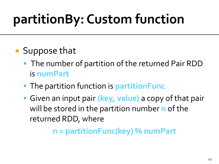## partitionBy: Custom function

- **Suppose that** 
	- The number of partition of the returned Pair RDD is **numPart**
	- The partition function is **partitionFunc**
	- Given an input pair **(key, value)** a copy of that pair will be stored in the partition number **n** of the returned RDD, where

**n = partitionFunc(key) % numPart**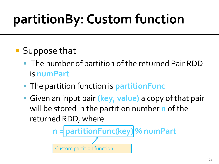## partitionBy: Custom function

- **Suppose that** 
	- The number of partition of the returned Pair RDD is **numPart**
	- The partition function is **partitionFunc**
	- Given an input pair **(key, value)** a copy of that pair will be stored in the partition number **n** of the returned RDD, where

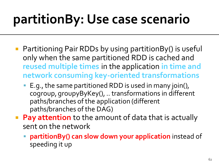## partitionBy: Use case scenario

- Partitioning Pair RDDs by using partitionBy() is useful only when the same partitioned RDD is cached and **reused multiple times** in the application **in time and network consuming key-oriented transformations**
	- E.g., the same partitioned RDD is used in many join(), cogroup, groupyByKey(), .. transformations in different paths/branches of the application (different paths/branches of the DAG)
- **Pay attention** to the amount of data that is actually sent on the network
	- **partitionBy() can slow down your application** instead of speeding it up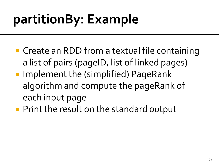- Create an RDD from a textual file containing a list of pairs (pageID, list of linked pages)
- Implement the (simplified) PageRank algorithm and compute the pageRank of each input page
- **Print the result on the standard output**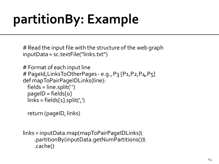# Read the input file with the structure of the web graph inputData = sc.textFile("links.txt")

```
# Format of each input line
# PageId, LinksToOtherPages - e.g., P3 [P1, P2, P4, P5]
def mapToPairPageIDLinks(line):
 fields = line.split('')paqelD = fields[<sub>o</sub>]links = fields[1].split(',')
```

```
 return (pageID, links)
```

```
links = inputData.map(mapToPairPageIDLinks)\
    .partitionBy(inputData.getNumPartitions())\
    .cache()
```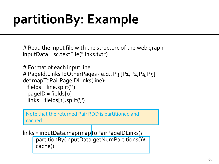# Read the input file with the structure of the web graph inputData = sc.textFile("links.txt")

```
# Format of each input line
# PageId, LinksToOtherPages - e.g., P3 [P1, P2, P4, P5]
def mapToPairPageIDLinks(line):
  fields = line.split(' ')
  paqelD = fields[<sub>o</sub>]links = fields[1].split(',')
```
Note that the returned Pair RDD is partitioned and cached

 $links = inputData-map (mapToPairPageIDLinks)$ .partitionBy(inputData.getNumPartitions())\ .cache()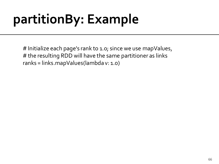# Initialize each page's rank to 1.0; since we use mapValues, # the resulting RDD will have the same partitioner as links ranks = links.mapValues(lambda v: 1.0)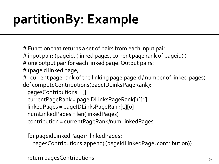- # Function that returns a set of pairs from each input pair
- # input pair: (pageid, (linked pages, current page rank of pageid) )
- # one output pair for each linked page. Output pairs:
- # (pageid linked page,
- # current page rank of the linking page pageid / number of linked pages) def computeContributions(pageIDLinksPageRank):
	- pagesContributions = []
	- currentPageRank = pageIDLinksPageRank[1][1]
	- linkedPages = pageIDLinksPageRank[1][0]
	- numLinkedPages = len(linkedPages)
	- contribution = currentPageRank/numLinkedPages

for pageidLinkedPage in linkedPages:

pagesContributions.append( (pageidLinkedPage, contribution))

return pagesContributions and the contributions of  $\epsilon_{7}$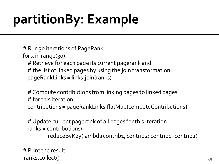# Run 30 iterations of PageRank

for  $x$  in range(30):

 # Retrieve for each page its current pagerank and # the list of linked pages by using the join transformation pageRankLinks = links.join(ranks)

 # Compute contributions from linking pages to linked pages # for this iteration contributions = pageRankLinks.flatMap(computeContributions)

 # Update current pagerank of all pages for this iteration ranks = contributions\ .reduceByKey(lambda contrib1, contrib2: contrib1+contrib2)

# Print the result ranks.collect() and the set of the set of the set of the set of the set of the set of the set of the set of th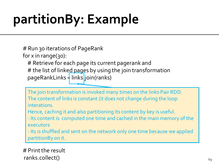# Run 30 iterations of PageRank

for  $x$  in range(30):

# Retrieve for each page its current pagerank and

# the list of linked pages by using the join transformation pageRankLinks = links ioin(ranks)

The join transformation is invoked many times on the links Pair RDD. The content of links is constant (it does not change during the loop  $\Gamma$  interations.  $\Gamma$  pageRankLinks.flatContributions is parameterized by  $\Gamma$ interations.

Hence, caching it and also partitioning its content by key is useful.

<sup>-</sup> its content is compoted one time and cached in the main me - Its content is computed one time and cached in the main memory of the executors

If the contributions are contributions of the network only one time because we applied  $\frac{1}{2}$  partitionBy on it.  $\frac{1}{2}$  contribution  $\frac{1}{2}$  contribution  $\frac{1}{2}$ 

# Print the result  $ranks$ **.collect()** $$69$$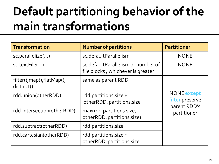#### Default partitioning behavior of the main transformations

| <b>Transformation</b>                     | <b>Number of partitions</b>                                             | <b>Partitioner</b>                    |
|-------------------------------------------|-------------------------------------------------------------------------|---------------------------------------|
| sc.parallelize()                          | sc.defaultParallelism                                                   | <b>NONE</b>                           |
| sc.textFile()                             | sc.defaultParallelism or number of<br>file blocks, whichever is greater | <b>NONE</b>                           |
| filter(), map(), flatMap(),<br>distinct() | same as parent RDD                                                      |                                       |
| rdd.union(otherRDD)                       | rdd.partitions.size +<br>otherRDD. partitions.size                      | <b>NONE</b> except<br>filter preserve |
| rdd.intersection(otherRDD)                | max(rdd.partitions.size,<br>otherRDD. partitions.size)                  | parent RDD's<br>partitioner           |
| rdd.subtract(otherRDD)                    | rdd.partitions.size                                                     |                                       |
| rdd.cartesian(otherRDD)                   | rdd.partitions.size *<br>otherRDD. partitions.size                      |                                       |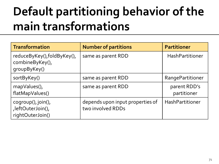#### Default partitioning behavior of the main transformations

| <b>Transformation</b>                                         | <b>Number of partitions</b>                           | <b>Partitioner</b>          |
|---------------------------------------------------------------|-------------------------------------------------------|-----------------------------|
| reduceByKey(),foldByKey(),<br>combineByKey(),<br>groupByKey() | same as parent RDD                                    | HashPartitioner             |
| sortByKey()                                                   | same as parent RDD                                    | RangePartitioner            |
| mapValues(),<br>flatMapValues()                               | same as parent RDD                                    | parent RDD's<br>partitioner |
| cogroup(), join(),<br>,leftOuterJoin(),<br>rightOuterJoin()   | depends upon input properties of<br>two involved RDDs | HashPartitioner             |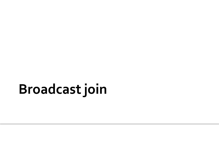## **Broadcast join**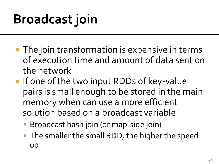## **Broadcast join**

- **The join transformation is expensive in terms** of execution time and amount of data sent on the network
- **If one of the two input RDDs of key-value** pairs is small enough to be stored in the main memory when can use a more efficient solution based on a broadcast variable
	- Broadcast hash join (or map-side join)
	- **The smaller the small RDD, the higher the speed** up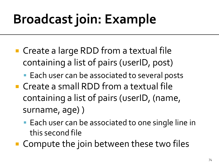## **Broadcast join: Example**

- Create a large RDD from a textual file containing a list of pairs (userID, post)
	- **Each user can be associated to several posts**
- Create a small RDD from a textual file containing a list of pairs (userID, (name, surname, age) )
	- **Each user can be associated to one single line in** this second file
- Compute the join between these two files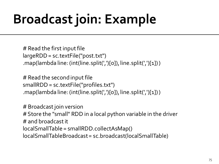## **Broadcast join: Example**

# Read the first input file largeRDD= sc.textFile("post.txt") .map(lambda line: (int(line.split(',')[0]), line.split(',')[1]) )

# Read the second input file smallRDD= sc.textFile("profiles.txt") .map(lambda line: (int(line.split(',')[0]), line.split(',')[1]) )

# Broadcast join version # Store the "small" RDD in a local python variable in the driver # and broadcast it localSmallTable = smallRDD.collectAsMap() localSmallTableBroadcast= sc.broadcast(localSmallTable)